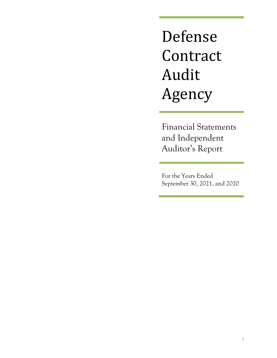Defense Contract Audit Agency

Financial Statements and Independent Auditor's Report

For the Years Ended September 30, 2021, and 2020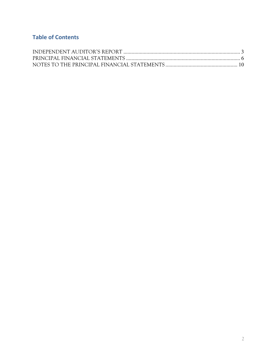# **Table of Contents**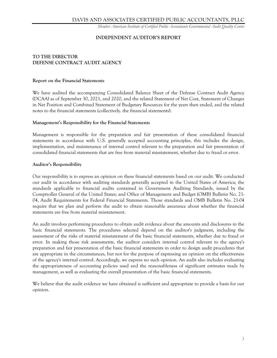*Member American Institute of Certified Public Accountants Governmental Audit Quality Center*

# **INDEPENDENT AUDITOR'S REPORT**

# <span id="page-2-0"></span>**TO THE DIRECTOR DEFENSE CONTRACT AUDIT AGENCY**

#### **Report on the Financial Statements**

We have audited the accompanying Consolidated Balance Sheet of the Defense Contract Audit Agency (DCAA) as of September 30, 2021, and 2020, and the related Statement of Net Cost, Statement of Changes in Net Position and Combined Statement of Budgetary Resources for the years then ended, and the related notes to the financial statements (collectively. the financial statements).

#### **Management's Responsibility for the Financial Statements**

Management is responsible for the preparation and fair presentation of these consolidated financial statements in accordance with U.S. generally accepted accounting principles; this includes the design, implementation, and maintenance of internal control relevant to the preparation and fair presentation of consolidated financial statements that are free from material misstatement, whether due to fraud or error.

### **Auditor's Responsibility**

Our responsibility is to express an opinion on these financial statements based on our audit. We conducted our audit in accordance with auditing standards generally accepted in the United States of America; the standards applicable to financial audits contained in Government Auditing Standards, issued by the Comptroller General of the United States; and Office of Management and Budget (OMB) Bulletin No. 21- 04, Audit Requirements for Federal Financial Statements. Those standards and OMB Bulletin No. 21-04 require that we plan and perform the audit to obtain reasonable assurance about whether the financial statements are free from material misstatement.

An audit involves performing procedures to obtain audit evidence about the amounts and disclosures in the basic financial statements. The procedures selected depend on the auditor's judgment, including the assessment of the risks of material misstatement of the basic financial statements, whether due to fraud or error. In making those risk assessments, the auditor considers internal control relevant to the agency's preparation and fair presentation of the basic financial statements in order to design audit procedures that are appropriate in the circumstances, but not for the purpose of expressing an opinion on the effectiveness of the agency's internal control. Accordingly, we express no such opinion. An audit also includes evaluating the appropriateness of accounting policies used and the reasonableness of significant estimates made by management, as well as evaluating the overall presentation of the basic financial statements.

We believe that the audit evidence we have obtained is sufficient and appropriate to provide a basis for our opinion.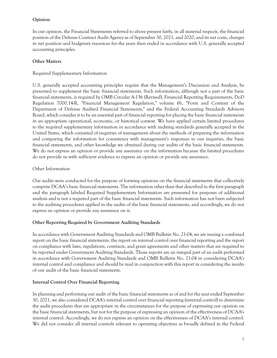### **Opinion**

In our opinion, the Financial Statements referred to above present fairly, in all material respects, the financial position of the Defense Contract Audit Agency as of September 30, 2021, and 2020, and its net costs, changes in net position and budgetary resources for the years then ended in accordance with U.S. generally accepted accounting principles.

### **Other Matters**

### Required Supplementary Information

U.S. generally accepted accounting principles require that the Management's Discussion and Analysis, be presented to supplement the basic financial statements. Such information, although not a part of the basic financial statements, is required by OMB Circular A-136 (Revised), Financial Reporting Requirements, DoD Regulation 7000.14-R, "Financial Management Regulation," volume 6b, "Form and Content of the Department of Defense Audited Financial Statements," and the Federal Accounting Standards Advisory Board, which consider it to be an essential part of financial reporting for placing the basic financial statements in an appropriate operational, economic, or historical context. We have applied certain limited procedures to the required supplementary information in accordance with auditing standards generally accepted in the United States, which consisted of inquiries of management about the methods of preparing the information and comparing the information for consistency with management's responses to our inquiries, the basic financial statements, and other knowledge we obtained during our audits of the basic financial statements. We do not express an opinion or provide any assurance on the information because the limited procedures do not provide us with sufficient evidence to express an opinion or provide any assurance.

### Other Information

Our audits were conducted for the purpose of forming opinions on the financial statements that collectively comprise DCAA's basic financial statements. The information other than that described in the first paragraph and the paragraph labeled Required Supplementary Information are presented for purposes of additional analysis and is not a required part of the basic financial statements. Such information has not been subjected to the auditing procedures applied in the audits of the basic financial statements, and accordingly, we do not express an opinion or provide any assurance on it.

# **Other Reporting Required by Government Auditing Standards**

In accordance with Government Auditing Standards and OMB Bulletin No. 21-04, we are issuing a combined report on the basic financial statements, the report on internal control over financial reporting and the report on compliance with laws, regulations, contracts, and grant agreements and other matters that are required to be reported under Government Auditing Standards. Those reports are an integral part of an audit performed in accordance with Government Auditing Standards and OMB Bulletin No. 21-04 in considering DCAA's internal control and compliance and should be read in conjunction with this report in considering the results of our audit of the basic financial statements.

# **Internal Control Over Financial Reporting**

In planning and performing our audit of the basic financial statements as of and for the year ended September 30, 2021, we also considered DCAA's internal control over financial reporting (internal control) to determine the audit procedures that are appropriate in the circumstances for the purpose of expressing our opinion on the basic financial statements, but not for the purpose of expressing an opinion of the effectiveness of DCAA's internal control. Accordingly, we do not express an opinion on the effectiveness of DCAA's internal control. We did not consider all internal controls relevant to operating objectives as broadly defined in the Federal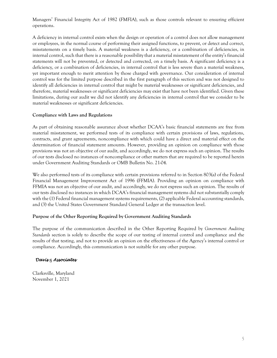Managers' Financial Integrity Act of 1982 (FMFIA), such as those controls relevant to ensuring efficient operations.

A deficiency in internal control exists when the design or operation of a control does not allow management or employees, in the normal course of performing their assigned functions, to prevent, or detect and correct, misstatements on a timely basis. A material weakness is a deficiency, or a combination of deficiencies, in internal control, such that there is a reasonable possibility that a material misstatement of the entity's financial statements will not be prevented, or detected and corrected, on a timely basis. A significant deficiency is a deficiency, or a combination of deficiencies, in internal control that is less severe than a material weakness, yet important enough to merit attention by those charged with governance. Our consideration of internal control was for the limited purpose described in the first paragraph of this section and was not designed to identify all deficiencies in internal control that might be material weaknesses or significant deficiencies, and therefore, material weaknesses or significant deficiencies may exist that have not been identified. Given these limitations, during our audit we did not identify any deficiencies in internal control that we consider to be material weaknesses or significant deficiencies.

### **Compliance with Laws and Regulations**

As part of obtaining reasonable assurance about whether DCAA's basic financial statements are free from material misstatement, we performed tests of its compliance with certain provisions of laws, regulations, contracts, and grant agreements, noncompliance with which could have a direct and material effect on the determination of financial statement amounts. However, providing an opinion on compliance with those provisions was not an objective of our audit, and accordingly, we do not express such an opinion. The results of our tests disclosed no instances of noncompliance or other matters that are required to be reported herein under Government Auditing Standards or OMB Bulletin No. 21-04.

We also performed tests of its compliance with certain provisions referred to in Section 803(a) of the Federal Financial Management Improvement Act of 1996 (FFMIA). Providing an opinion on compliance with FFMIA was not an objective of our audit, and accordingly, we do not express such an opinion. The results of our tests disclosed no instances in which DCAA's financial management systems did not substantially comply with the (1) Federal financial management systems requirements, (2) applicable Federal accounting standards, and (3) the United States Government Standard General Ledger at the transaction level.

#### **Purpose of the Other Reporting Required by Government Auditing Standards**

The purpose of the communication described in the Other Reporting Required by *Government Auditing Standards* section is solely to describe the scope of our testing of internal control and compliance and the results of that testing, and not to provide an opinion on the effectiveness of the Agency's internal control or compliance. Accordingly, this communication is not suitable for any other purpose.

# *Davis* & *Associates*

Clarksville, Maryland November 1, 2021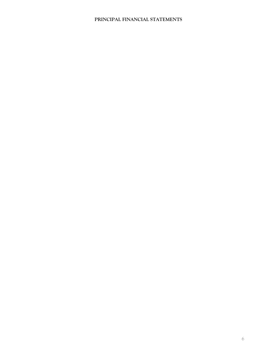# <span id="page-5-0"></span>**PRINCIPAL FINANCIAL STATEMENTS**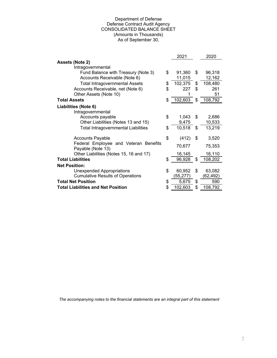#### Department of Defense Defense Contract Audit Agency CONSOLIDATED BALANCE SHEET (Amounts in Thousands) As of September 30,

|                                                            | 2021          | 2020          |
|------------------------------------------------------------|---------------|---------------|
| <b>Assets (Note 2)</b>                                     |               |               |
| Intragovernmental                                          |               |               |
| Fund Balance with Treasury (Note 3)                        | \$<br>91,360  | \$<br>96,318  |
| Accounts Receivable (Note 6)                               | 11,015        | 12,162        |
| <b>Total Intragovernmental Assets</b>                      | \$<br>102,375 | \$<br>108,480 |
| Accounts Receivable, net (Note 6)                          | \$<br>227     | \$<br>261     |
| Other Assets (Note 10)                                     |               | 51            |
| <b>Total Assets</b>                                        | \$<br>102,603 | \$<br>108,792 |
| Liabilities (Note 6)                                       |               |               |
| Intragovernmental                                          |               |               |
| Accounts payable                                           | \$<br>1,043   | \$<br>2,686   |
| Other Liabilities (Notes 13 and 15)                        | 9,475         | 10,533        |
| Total Intragovernmental Liabilities                        | \$<br>10,518  | \$<br>13,219  |
|                                                            | \$            |               |
| <b>Accounts Payable</b>                                    | (412)         | \$<br>3,520   |
| Federal Employee and Veteran Benefits<br>Payable (Note 13) | 70,677        | 75,353        |
| Other Liabilities (Notes 15, 16 and 17)                    | 16,145        | 16,110        |
| <b>Total Liabilities</b>                                   | \$<br>96,928  | \$<br>108,202 |
| <b>Net Position:</b>                                       |               |               |
| Unexpended Appropriations                                  | \$<br>60,952  | \$<br>63,082  |
| <b>Cumulative Results of Operations</b>                    | (55, 277)     | (62, 492)     |
| <b>Total Net Position</b>                                  | \$<br>5,675   | \$<br>590     |
| <b>Total Liabilities and Net Position</b>                  | \$<br>102,603 | \$<br>108,792 |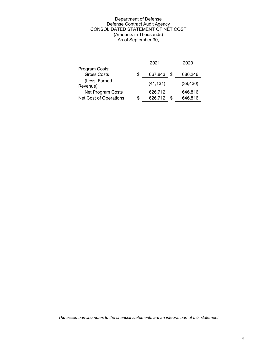#### Department of Defense Defense Contract Audit Agency CONSOLIDATED STATEMENT OF NET COST (Amounts in Thousands) As of September 30,

|                           |    | 2021      | 2020      |
|---------------------------|----|-----------|-----------|
| Program Costs:            |    |           |           |
| <b>Gross Costs</b>        | S  | 667,843   | 686,246   |
| (Less: Earned<br>Revenue) |    | (41, 131) | (39, 430) |
| Net Program Costs         |    | 626,712   | 646,816   |
| Net Cost of Operations    | \$ | 626,712   | 646,816   |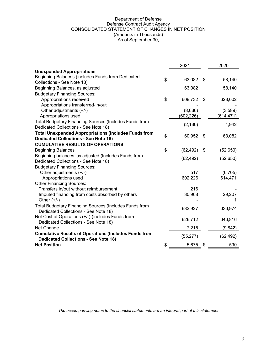#### Department of Defense Defense Contract Audit Agency CONSOLIDATED STATEMENT OF CHANGES IN NET POSITION (Amounts in Thousands) As of September 30,

|                                                               | 2021            | 2020           |
|---------------------------------------------------------------|-----------------|----------------|
| <b>Unexpended Appropriations</b>                              |                 |                |
| Beginning Balances (includes Funds from Dedicated             | \$<br>63,082    | \$<br>58,140   |
| Collections - See Note 18)                                    |                 |                |
| Beginning Balances, as adjusted                               | 63,082          | 58,140         |
| <b>Budgetary Financing Sources:</b>                           |                 |                |
| Appropriations received                                       | \$<br>608,732   | \$<br>623,002  |
| Appropriations transferred-in/out                             |                 |                |
| Other adjustments (+/-)                                       | (8,636)         | (3,589)        |
| Appropriations used                                           | (602, 226)      | (614,471)      |
| Total Budgetary Financing Sources (Includes Funds from        | (2, 130)        | 4,942          |
| Dedicated Collections - See Note 18)                          |                 |                |
| <b>Total Unexpended Appropriations (Includes Funds from</b>   | \$<br>60,952    | \$<br>63,082   |
| <b>Dedicated Collections - See Note 18)</b>                   |                 |                |
| <b>CUMULATIVE RESULTS OF OPERATIONS</b>                       |                 |                |
| <b>Beginning Balances</b>                                     | \$<br>(62, 492) | \$<br>(52,650) |
| Beginning balances, as adjusted (Includes Funds from          | (62, 492)       | (52,650)       |
| Dedicated Collections - See Note 18)                          |                 |                |
| <b>Budgetary Financing Sources:</b>                           |                 |                |
| Other adjustments (+/-)                                       | 517             | (6,705)        |
| Appropriations used                                           | 602,226         | 614,471        |
| <b>Other Financing Sources:</b>                               |                 |                |
| Transfers in/out without reimbursement                        | 216             |                |
| Imputed financing from costs absorbed by others               | 30,968          | 29,207         |
| Other $(+/-)$                                                 |                 |                |
| <b>Total Budgetary Financing Sources (Includes Funds from</b> | 633,927         | 636,974        |
| Dedicated Collections - See Note 18)                          |                 |                |
| Net Cost of Operations (+/-) (Includes Funds from             | 626,712         | 646,816        |
| Dedicated Collections - See Note 18)                          |                 |                |
| Net Change                                                    | 7,215           | (9,842)        |
| <b>Cumulative Results of Operations (Includes Funds from</b>  | (55, 277)       | (62, 492)      |
| <b>Dedicated Collections - See Note 18)</b>                   |                 |                |
| <b>Net Position</b>                                           | \$<br>5,675     | \$<br>590      |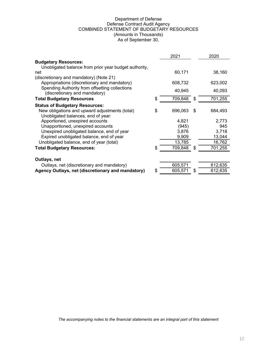#### Department of Defense Defense Contract Audit Agency COMBINED STATEMENT OF BUDGETARY RESOURCES (Amounts in Thousands) As of September 30,

<span id="page-9-0"></span>

|                                                       |    | 2021    |      | 2020    |
|-------------------------------------------------------|----|---------|------|---------|
| <b>Budgetary Resources:</b>                           |    |         |      |         |
| Unobligated balance from prior year budget authority, |    |         |      |         |
| net                                                   |    | 60,171  |      | 38,160  |
| (discretionary and mandatory) (Note 21)               |    |         |      |         |
| Appropriations (discretionary and mandatory)          |    | 608,732 |      | 623,002 |
| Spending Authority from offsetting collections        |    | 40,945  |      | 40,093  |
| (discretionary and mandatory)                         |    |         |      |         |
| <b>Total Budgetary Resources</b>                      | \$ | 709,848 | - \$ | 701,255 |
| <b>Status of Budgetary Resources:</b>                 |    |         |      |         |
| New obligations and upward adjustments (total)        | \$ | 696,063 | S    | 684,493 |
| Unobligated balances, end of year:                    |    |         |      |         |
| Apportioned, unexpired accounts                       |    | 4,821   |      | 2,773   |
| Unapportioned, unexpired accounts                     |    | (945)   |      | 945     |
| Unexpired unobligated balance, end of year            |    | 3,876   |      | 3,718   |
| Expired unobligated balance, end of year              |    | 9,909   |      | 13,044  |
| Unobligated balance, end of year (total)              |    | 13,785  |      | 16,762  |
| <b>Total Budgetary Resources:</b>                     | \$ | 709,848 | \$.  | 701,255 |
|                                                       |    |         |      |         |
| Outlays, net                                          |    |         |      |         |
| Outlays, net (discretionary and mandatory)            |    | 605,571 |      | 612,635 |
| Agency Outlays, net (discretionary and mandatory)     | S  | 605,571 | S    | 612,635 |
|                                                       |    |         |      |         |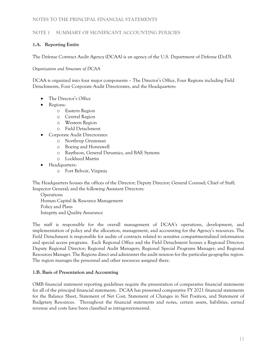### **NOTES TO THE PRINCIPAL FINANCIAL STATEMENTS**

# **NOTE 1 SUMMARY OF SIGNIFICANT ACCOUNTING POLICIES**

### **1.A. Reporting Entity**

The Defense Contract Audit Agency (DCAA) is an agency of the U.S. Department of Defense (DoD).

#### *Organization and Structure of DCAA*

DCAA is organized into four major components – The Director's Office, Four Regions including Field Detachments, Four Corporate Audit Directorates, and the Headquarters:

- The Director's Office
- Regions:
	- o Eastern Region
	- o Central Region
	- o Western Region
	- o Field Detachment
- Corporate Audit Directorates:
	- o Northrup Grumman
	- o Boeing and Honeywell
	- o Raytheon, General Dynamics, and BAE Systems
	- o Lockheed Martin
- Headquarters:
	- o Fort Belvoir, Virginia

The Headquarters houses the offices of the Director; Deputy Director; General Counsel; Chief of Staff; Inspector General; and the following Assistant Directors:

Operations Human Capital & Resource Management Policy and Plans Integrity and Quality Assurance

The staff is responsible for the overall management of DCAA's operations, development, and implementation of policy and the allocation, management, and accounting for the Agency's resources. The Field Detachment is responsible for audits of contracts related to sensitive compartmentalized information and special access programs. Each Regional Office and the Field Detachment houses a Regional Director; Deputy Regional Director; Regional Audit Managers; Regional Special Programs Manager; and Regional Resources Manager. The Regions direct and administer the audit mission for the particular geographic region. The region manages the personnel and other resources assigned there.

#### **1.B. Basis of Presentation and Accounting**

OMB financial statement reporting guidelines require the presentation of comparative financial statements for all of the principal financial statements. DCAA has presented comparative FY 2021 financial statements for the Balance Sheet, Statement of Net Cost, Statement of Changes in Net Position, and Statement of Budgetary Resources. Throughout the financial statements and notes, certain assets, liabilities, earned revenue and costs have been classified as intragovernmental.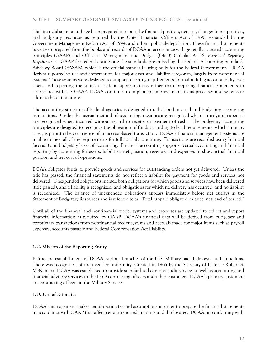### **NOTE 1 SUMMARY OF SIGNIFICANT ACCOUNTING POLICIES – (continued)**

The financial statements have been prepared to report the financial position, net cost, changes in net position, and budgetary resources as required by the Chief Financial Officers Act of 1990, expanded by the Government Management Reform Act of 1994, and other applicable legislation. These financial statements have been prepared from the books and records of DCAA in accordance with generally accepted accounting principles (GAAP) and Office of Management and Budget (OMB) Circular A-136, *Financial Reporting Requirements*. GAAP for federal entities are the standards prescribed by the Federal Accounting Standards Advisory Board (FASAB), which is the official standard-setting body for the Federal Government. DCAA derives reported values and information for major asset and liability categories, largely from nonfinancial systems. These systems were designed to support reporting requirements for maintaining accountability over assets and reporting the status of federal appropriations rather than preparing financial statements in accordance with US GAAP. DCAA continues to implement improvements in its processes and systems to address these limitations.

The accounting structure of Federal agencies is designed to reflect both accrual and budgetary accounting transactions. Under the accrual method of accounting, revenues are recognized when earned, and expenses are recognized when incurred without regard to receipt or payment of cash. The budgetary accounting principles are designed to recognize the obligation of funds according to legal requirements, which in many cases, is prior to the occurrence of an accrual-based transaction. DCAA's financial management systems are unable to meet all of the requirements for full accrual accounting. Transactions are recorded using financial (accrual) and budgetary bases of accounting. Financial accounting supports accrual accounting and financial reporting by accounting for assets, liabilities, net position, revenues and expenses to show actual financial position and net cost of operations.

DCAA obligates funds to provide goods and services for outstanding orders not yet delivered. Unless the title has passed, the financial statements do not reflect a liability for payment for goods and services not delivered. Unexpended obligations include both obligations for which goods and services have been delivered (title passed), and a liability is recognized, and obligations for which no delivery has occurred, and no liability is recognized. The balance of unexpended obligations appears immediately before net outlays in the Statement of Budgetary Resources and is referred to as "Total, unpaid obligated balance, net, end of period."

Until all of the financial and nonfinancial feeder systems and processes are updated to collect and report financial information as required by GAAP, DCAA's financial data will be derived from budgetary and proprietary transactions from nonfinancial feeder systems and accruals made for major items such as payroll expenses, accounts payable and Federal Compensation Act Liability.

#### **1.C. Mission of the Reporting Entity**

Before the establishment of DCAA, various branches of the U.S. Military had their own audit functions. There was recognition of the need for uniformity. Created in 1965 by the Secretary of Defense Robert S. McNamara, DCAA was established to provide standardized contract audit services as well as accounting and financial advisory services to the DoD contracting officers and other customers. DCAA's primary customers are contracting officers in the Military Services.

#### **1.D. Use of Estimates**

DCAA's management makes certain estimates and assumptions in order to prepare the financial statements in accordance with GAAP that affect certain reported amounts and disclosures. DCAA, in conformity with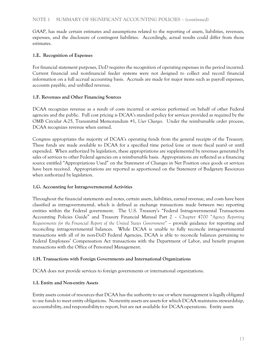GAAP, has made certain estimates and assumptions related to the reporting of assets, liabilities, revenues, expenses, and the disclosure of contingent liabilities. Accordingly, actual results could differ from those estimates.

### **1.E. Recognition of Expenses**

For financial statement purposes, DoD requires the recognition of operating expenses in the period incurred. Current financial and nonfinancial feeder systems were not designed to collect and record financial information on a full accrual accounting basis. Accruals are made for major items such as payroll expenses, accounts payable, and unbilled revenue.

### **1.F. Revenues and Other Financing Sources**

DCAA recognizes revenue as a result of costs incurred or services performed on behalf of other Federal agencies and the public. Full cost pricing is DCAA's standard policy for services provided as required by the OMB Circular A-25, Transmittal Memorandum #1, *User Charges*. Under the reimbursable order process, DCAA recognizes revenue when earned.

Congress appropriates the majority of DCAA's operating funds from the general receipts of the Treasury. These funds are made available to DCAA for a specified time period (one or more fiscal years) or until expended. When authorized by legislation, these appropriations are supplemented by revenues generated by sales of services to other Federal agencies on a reimbursable basis. Appropriations are reflected as a financing source entitled "Appropriations Used" on the Statement of Changes in Net Position once goods or services have been received. Appropriations are reported as apportioned on the Statement of Budgetary Resources when authorized by legislation.

#### **1.G. Accounting for Intragovernmental Activities**

Throughout the financial statements and notes, certain assets, liabilities, earned revenue, and costs have been classified as intragovernmental, which is defined as exchange transactions made between two reporting entities within the Federal government. The U.S. Treasury's "Federal Intragovernmental Transactions Accounting Policies Guide" and Treasury Financial Manual Part 2 – Chapter 4700 "*Agency Reporting Requirements for the Financial Report of the United States Government"* – provide guidance for reporting and reconciling intragovernmental balances. While DCAA is unable to fully reconcile intragovernmental transactions with all of its non-DoD Federal Agencies, DCAA is able to reconcile balances pertaining to Federal Employees' Compensation Act transactions with the Department of Labor, and benefit program transactions with the Office of Personnel Management.

#### **1.H. Transactions with Foreign Governments and International Organizations**

DCAA does not provide services to foreign governments or international organizations.

# **1.I. Entity and Non-entity Assets**

Entity assets consist of resources that DCAA has the authority to use or where management is legally obligated to use funds to meet entity obligations. Nonentity assets are assets for which DCAA maintains stewardship, accountability, and responsibilityto report, but are not available for DCAAoperations. Entity assets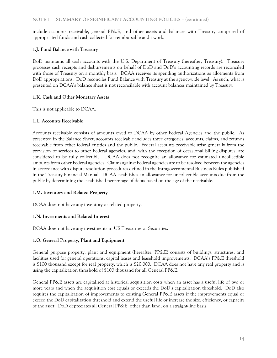include accounts receivable, general PP&E, and other assets and balances with Treasury comprised of appropriated funds and cash collected for reimbursable audit work.

# **1.J. Fund Balance with Treasury**

DoD maintains all cash accounts with the U.S. Department of Treasury (hereafter, Treasury). Treasury processes cash receipts and disbursements on behalf of DoD and DoD's accounting records are reconciled with those of Treasury on a monthly basis. DCAA receives its spending authorizations as allotments from DoD appropriations. DoD reconciles Fund Balance with Treasury at the agency-wide level. As such, what is presented on DCAA's balance sheet is not reconcilable with account balances maintained by Treasury.

# **1.K. Cash and Other Monetary Assets**

This is not applicable to DCAA.

# **1.L. Accounts Receivable**

Accounts receivable consists of amounts owed to DCAA by other Federal Agencies and the public. As presented in the Balance Sheet, accounts receivable includes three categories: accounts, claims, and refunds receivable from other federal entities and the public. Federal accounts receivable arise generally from the provision of services to other Federal agencies, and, with the exception of occasional billing disputes, are considered to be fully collectible. DCAA does not recognize an allowance for estimated uncollectible amounts from other Federal agencies. Claims against Federal agencies are to be resolved between the agencies in accordance with dispute resolution procedures defined in the Intragovernmental Business Rules published in the Treasury Financial Manual. DCAA establishes an allowance for uncollectible accounts due from the public by determining the established percentage of debts based on the age of the receivable.

# **1.M. Inventory and Related Property**

DCAA does not have any inventory or related property.

# **1.N. Investments and Related Interest**

DCAA does not have any investments in US Treasuries or Securities.

# **1.O. General Property, Plant and Equipment**

General purpose property, plant and equipment (hereafter, PP&E) consists of buildings, structures, and facilities used for general operations, capital leases and leasehold improvements. DCAA's PP&E threshold is \$100 thousand except for real property, which is \$20,000. DCAA does not have any real property and is using the capitalization threshold of \$100 thousand for all General PP&E.

General PP&E assets are capitalized at historical acquisition costs when an asset has a useful life of two or more years and when the acquisition cost equals or exceeds the DoD's capitalization threshold. DoD also requires the capitalization of improvements to existing General PP&E assets if the improvements equal or exceed the DoD capitalization threshold and extend the useful life or increase the size, efficiency, or capacity of the asset. DoD depreciates all General PP&E, other than land, on a straight-line basis.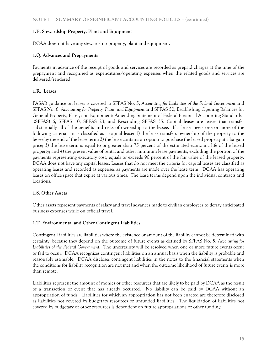#### **1.P. Stewardship Property, Plant and Equipment**

DCAA does not have any stewardship property, plant and equipment.

#### **1.Q. Advances and Prepayments**

Payments in advance of the receipt of goods and services are recorded as prepaid charges at the time of the prepayment and recognized as expenditures/operating expenses when the related goods and services are delivered/rendered.

#### **1.R. Leases**

FASAB guidance on leases is covered in SFFAS No. 5, *Accounting for Liabilities of the Federal Government* and SFFAS No. 6, *Accounting for Property, Plant, and Equipment* and SFFAS 50, Establishing Opening Balances for General Property, Plant, and Equipment: Amending Statement of Federal Financial Accounting Standards (SFFAS) 6, SFFAS 10, SFFAS 23, and Rescinding SFFAS 35. Capital leases are leases that transfer substantially all of the benefits and risks of ownership to the lessee. If a lease meets one or more of the following criteria – it is classified as a capital lease: 1) the lease transfers ownership of the property to the lessee by the end of the lease term; 2) the lease contains an option to purchase the leased property at a bargain price; 3) the lease term is equal to or greater than 75 percent of the estimated economic life of the leased property; and 4) the present value of rental and other minimum lease payments, excluding the portion of the payments representing executory cost, equals or exceeds 90 percent of the fair value of th**e** leased property. DCAA does not have any capital leases. Leases that do not meet the criteria for capital leases are classified as operating leases and recorded as expenses as payments are made over the lease term. DCAA has operating leases on office space that expire at various times. The lease terms depend upon the individual contracts and locations.

#### **1.S. Other Assets**

Other assets represent payments of salary and travel advances made to civilian employees to defray anticipated business expenses while on official travel.

#### **1.T. Environmental and Other Contingent Liabilities**

Contingent Liabilities are liabilities where the existence or amount of the liability cannot be determined with certainty, because they depend on the outcome of future events as defined by SFFAS No. 5, *Accounting for Liabilities of the Federal Government.* The uncertainty will be resolved when one or more future events occur or fail to occur. DCAA recognizes contingent liabilities on an annual basis when the liability is probable and reasonably estimable. DCAA discloses contingent liabilities in the notes to the financial statements when the conditions for liability recognition are not met and when the outcome likelihood of future events is more than remote.

Liabilities represent the amount of monies or other resources that are likely to be paid by DCAA as the result of a transaction or event that has already occurred. No liability can be paid by DCAA without an appropriation of funds. Liabilities for which an appropriation has not been enacted are therefore disclosed as liabilities not covered by budgetary resources or unfunded liabilities. The liquidation of liabilities not covered by budgetary or other resources is dependent on future appropriations or other funding.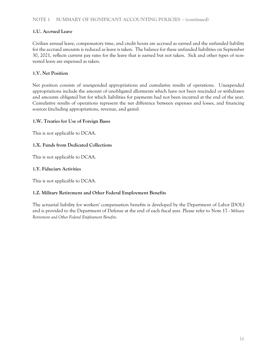# **1.U. Accrued Leave**

Civilian annual leave, compensatory time, and credit hours are accrued as earned and the unfunded liability for the accrued amounts is reduced as leave is taken. The balance for these unfunded liabilities on September 30, 2021, reflects current pay rates for the leave that is earned but not taken. Sick and other types of nonvested leave are expensed as taken.

# **1.V. Net Position**

Net position consists of unexpended appropriations and cumulative results of operations. Unexpended appropriations include the amount of unobligated allotments which have not been rescinded or withdrawn and amounts obligated but for which liabilities for payments had not been incurred at the end of the year. Cumulative results of operations represent the net difference between expenses and losses, and financing sources (including appropriations, revenue, and gains).

#### **1.W. Treaties for Use of Foreign Bases**

This is not applicable to DCAA.

### **1.X. Funds from Dedicated Collections**

This is not applicable to DCAA.

### **1.Y. Fiduciary Activities**

This is not applicable to DCAA.

# **1.Z. Military Retirement and Other Federal Employment Benefits**

The actuarial liability for workers' compensation benefits is developed by the Department of Labor {DOL) and is provided to the Department of Defense at the end of each fiscal year. Please refer to Note 17 - *Military Retirement and Other Federal Employment Benefits.*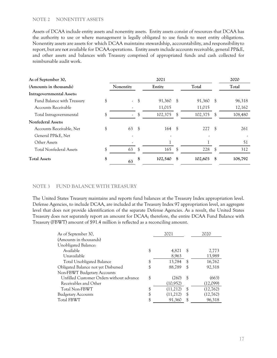#### **NOTE 2 NONENTITY ASSETS**

Assets of DCAA include entity assets and nonentity assets. Entity assets consist of resources that DCAA has the authority to use or where management is legally obligated to use funds to meet entity obligations. Nonentity assets are assets for which DCAA maintains stewardship, accountability, and responsibilityto report, but are not available for DCAAoperations. Entity assets include accounts receivable, general PP&E, and other assets and balances with Treasury comprised of appropriated funds and cash collected for reimbursable audit work.

| As of September 30,              |                  |               | 2021    |      |         |      | 2020    |
|----------------------------------|------------------|---------------|---------|------|---------|------|---------|
| (Amounts in thousands)           | Nonentity        |               | Entity  |      | Total   |      | Total   |
| <b>Intragovernmental Assets:</b> |                  |               |         |      |         |      |         |
| Fund Balance with Treasury       | \$<br>$\omega$ . | $\mathcal{L}$ | 91,360  | - \$ | 91,360  | \$   | 96,318  |
| Accounts Receivable              |                  |               | 11,015  |      | 11,015  |      | 12,162  |
| Total Intragovernmental          | \$<br>۰          | \$            | 102,375 | \$   | 102,375 | -S   | 108,480 |
| <b>Nonfederal Assets:</b>        |                  |               |         |      |         |      |         |
| Accounts Receivable, Net         | \$<br>63         | $\mathcal{S}$ | 164     | \$   | 227     | \$   | 261     |
| General PP&E, Net                | ٠                |               |         |      |         |      |         |
| Other Assets                     |                  |               |         |      |         |      | 51      |
| <b>Total Nonfederal Assets</b>   | \$<br>63         | - \$          | 165     | - \$ | 228     | - \$ | 312     |
| <b>Total Assets</b>              | \$<br>63         | \$            | 102,540 | -\$  | 102,603 | -\$  | 108,792 |

#### **NOTE 3 FUND BALANCE WITH TREASURY**

The United States Treasury maintains and reports fund balances at the Treasury Index appropriation level. Defense Agencies, to include DCAA, are included at the Treasury Index 97 appropriation level, an aggregate level that does not provide identification of the separate Defense Agencies. As a result, the United States Treasury does not separately report an amount for DCAA; therefore, the entire DCAA Fund Balance with Treasury (FBWT) amount of \$91.4 million is reflected as a reconciling amount.

| As of September 30,                      | 2021           |    | 2020      |
|------------------------------------------|----------------|----|-----------|
| (Amounts in thousands)                   |                |    |           |
| Unobligated Balance:                     |                |    |           |
| Available                                | \$<br>4,821    | \$ | 2,773     |
| Unavailable                              | 8,963          |    | 13,989    |
| Total Unobligated Balance                | \$<br>13,784   | \$ | 16,762    |
| Obligated Balance not yet Disbursed      | \$<br>88,789   | \$ | 92,318    |
| Non-FBWT Budgetary Accounts              |                |    |           |
| Unfilled Customer Orders without advance | \$<br>(260)    | S  | (663)     |
| Receivables and Other                    | (10, 952)      |    | (12,099)  |
| Total Non-FBWT                           | \$<br>(11,212) | \$ | (12,762)  |
| <b>Budgetary Accounts</b>                | \$<br>(11,212) | \$ | (12, 762) |
| <b>Total FBWT</b>                        | \$<br>91,360   | \$ | 96,318    |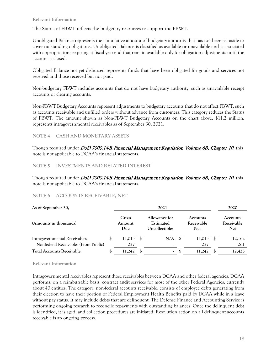#### **Relevant Information**

The Status of FBWT reflects the budgetary resources to support the FBWT.

Unobligated Balance represents the cumulative amount of budgetary authority that has not been set aside to cover outstanding obligations. Unobligated Balance is classified as available or unavailable and is associated with appropriations expiring at fiscal year-end that remain available only for obligation adjustments until the account is closed.

Obligated Balance not yet disbursed represents funds that have been obligated for goods and services not received and those received but not paid.

Non-budgetary FBWT includes accounts that do not have budgetary authority, such as unavailable receipt accounts or clearing accounts.

Non-FBWT Budgetary Accounts represent adjustments to budgetary accounts that do not affect FBWT, such as accounts receivable and unfilled orders without advance from customers. This category reduces the Status of FBWT. The amount shown as Non-FBWT Budgetary Accounts on the chart above, \$11.2 million, represents intragovernmental receivables as of September 30, 2021.

#### **NOTE 4 CASH AND MONETARY ASSETS**

Though required under DoD 7000.14-R Financial Management Regulation Volume 6B, Chapter 10**. t**his note is not applicable to DCAA's financial statements.

### **NOTE 5 INVESTMENTS AND RELATED INTEREST**

Though required under DoD 7000.14-R Financial Management Regulation Volume 6B, Chapter 10**. t**his note is not applicable to DCAA's financial statements.

#### **NOTE 6 ACCOUNTS RECEIVABLE, NET**

| As of September 30,                                                   |  | 2021                   |      |                                              |      |                                             |  | 2020                                 |  |
|-----------------------------------------------------------------------|--|------------------------|------|----------------------------------------------|------|---------------------------------------------|--|--------------------------------------|--|
| (Amounts in thousands)                                                |  | Gross<br>Amount<br>Due |      | Allowance for<br>Estimated<br>Uncollectibles |      | <b>Accounts</b><br>Receivable<br><b>Net</b> |  | <b>Accounts</b><br>Receivable<br>Net |  |
| Intragovernmental Receivables<br>Nonfederal Receivables (From Public) |  | 11,015<br>227          | - \$ | N/A<br>$\overline{\phantom{a}}$              | - \$ | 11.015<br>227                               |  | 12,162<br>261                        |  |
| <b>Total Accounts Receivable</b>                                      |  | 11,242                 |      | $\overline{\phantom{a}}$                     | -S   | 11.242                                      |  | 12,423                               |  |

**Relevant Information**

Intragovernmental receivables represent those receivables between DCAA and other federal agencies. DCAA performs, on a reimbursable basis, contract audit services for most of the other Federal Agencies, currently about 40 entities. The category. non-federal accounts receivable, consists of employee debts generating from their election to have their portion of Federal Employment Health Benefits paid by DCAA while in a leave without pay status. It may include debts that are delinquent. The Defense Finance and Accounting Service is performing ongoing research to reconcile repayments with outstanding balances. Once the delinquent debt is identified, it is aged, and collection procedures are initiated. Resolution action on all delinquent accounts receivable is an ongoing process.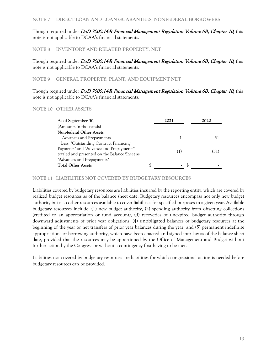Though required under DoD 7000.14-R Financial Management Regulation Volume 6B, Chapter 10, **t**his note is not applicable to DCAA's financial statements.

**NOTE 8 INVENTORY AND RELATED PROPERTY, NET**

Though required under DoD 7000.14-R Financial Management Regulation Volume 6B, Chapter 10, **t**his note is not applicable to DCAA's financial statements.

**NOTE 9 GENERAL PROPERTY, PLANT, AND EQUIPMENT NET**

Though required under DoD 7000.14-R Financial Management Regulation Volume 6B, Chapter 10, **t**his note is not applicable to DCAA's financial statements.

#### **NOTE 10 OTHER ASSETS**

| As of September 30,                           | 2021 | 2020 |
|-----------------------------------------------|------|------|
| (Amounts in thousands)                        |      |      |
| Non-federal Other Assets                      |      |      |
| Advances and Prepayments                      |      | 51   |
| Less: "Outstanding Contract Financing         |      |      |
| Payments" and "Advance and Prepayments"       |      | (51) |
| totaled and presented on the Balance Sheet as |      |      |
| "Advances and Prepayments"                    |      |      |
| <b>Total Other Assets</b>                     | \$   |      |

**NOTE 11 LIABILITIES NOT COVERED BY BUDGETARY RESOURCES**

Liabilities covered by budgetary resources are liabilities incurred by the reporting entity, which are covered by realized budget resources as of the balance sheet date. Budgetary resources encompass not only new budget authority but also other resources available to cover liabilities for specified purposes in a given year. Available budgetary resources include: (1) new budget authority, (2) spending authority from offsetting collections (credited to an appropriation or fund account), (3) recoveries of unexpired budget authority through downward adjustments of prior year obligations, (4) unobligated balances of budgetary resources at the beginning of the year or net transfers of prior year balances during the year, and (5) permanent indefinite appropriations or borrowing authority, which have been enacted and signed into law as of the balance sheet date, provided that the resources may be apportioned by the Office of Management and Budget without further action by the Congress or without a contingency first having to be met.

Liabilities not covered by budgetary resources are liabilities for which congressional action is needed before budgetary resources can be provided.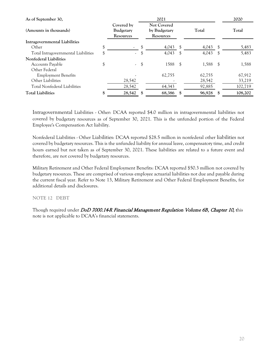| As of September 30,                 |                                             |               | 2021                                     |      |        |     | 2020    |
|-------------------------------------|---------------------------------------------|---------------|------------------------------------------|------|--------|-----|---------|
| (Amounts in thousands)              | Covered by<br><b>Budgetary</b><br>Resources |               | Not Covered<br>by Budgetary<br>Resources |      | Total  |     | Total   |
| Intragovernmental Liabilities       |                                             |               |                                          |      |        |     |         |
| Other                               | \$<br>$\sigma_{\rm{max}}$                   | $\sqrt{2}$    | 4,043                                    | \$   | 4,043  | \$. | 5,483   |
| Total Intragovernmental Liabilities | \$<br>¥.                                    | $\mathcal{S}$ | 4,043                                    | \$.  | 4,043  | \$. | 5,483   |
| Nonfederal Liabilities              |                                             |               |                                          |      |        |     |         |
| Accounts Payable                    |                                             | $-$ \$        | 1588                                     | - \$ | 1,588  | -\$ | 1,588   |
| Other Federal                       |                                             |               |                                          |      |        |     |         |
| <b>Employment Benefits</b>          |                                             |               | 62,755                                   |      | 62,755 |     | 67,912  |
| Other Liabilities                   | 28,542                                      |               |                                          |      | 28,542 |     | 33,219  |
| Total Nonfederal Liabilities        | 28,542                                      |               | 64,343                                   |      | 92,885 |     | 102,719 |
| <b>Total Liabilities</b>            | \$<br>28,542                                | - \$          | 68,386                                   |      | 96,928 | \$  | 108,202 |

Intragovernmental Liabilities - Other: DCAA reported \$4.0 million in intragovernmental liabilities not covered by budgetary resources as of September 30, 2021. This is the unfunded portion of the Federal Employee's Compensation Act liability.

Nonfederal Liabilities - Other Liabilities: DCAA reported \$28.5 million in nonfederal other liabilities not covered by budgetary resources. This is the unfunded liability for annual leave, compensatory time, and credit hours earned but not taken as of September 30, 2021. These liabilities are related to a future event and therefore, are not covered by budgetary resources.

Military Retirement and Other Federal Employment Benefits: DCAA reported \$50.3 million not covered by budgetary resources. These are comprised of various employee actuarial liabilities not due and payable during the current fiscal year. Refer to Note 13, Military Retirement and Other Federal Employment Benefits, for additional details and disclosures.

#### **NOTE 12 DEBT**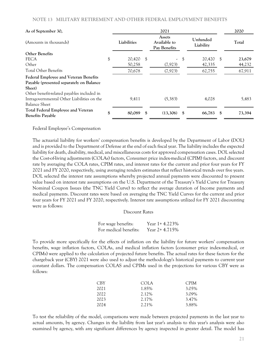#### **NOTE 13 MILITARY RETIREMENT AND OTHER FEDERAL EMPLOYMENT BENEFITS**

| As of September 30,                                                                                              |              |      | 2021                                          |        |                       |     | 2020   |
|------------------------------------------------------------------------------------------------------------------|--------------|------|-----------------------------------------------|--------|-----------------------|-----|--------|
| (Amounts in thousands)                                                                                           | Liabilities  |      | <b>Assets</b><br>Available to<br>Pay Benefits |        | Unfunded<br>Liability |     | Total  |
| <b>Other Benefits</b>                                                                                            |              |      |                                               |        |                       |     |        |
| <b>FECA</b>                                                                                                      | \$<br>20,420 | - \$ |                                               | $-$ \$ | 20,420                | \$  | 23,679 |
| Other                                                                                                            | 50,258       |      | (7,923)                                       |        | 42,335                |     | 44,232 |
| <b>Total Other Benefits</b>                                                                                      | 70,678       |      | (7,923)                                       |        | 62,755                |     | 67,911 |
| <b>Federal Employee and Veteran Benefits</b><br>Payable (presented separately on Balance<br>Sheet)               |              |      |                                               |        |                       |     |        |
| Other benefit-related payables included in<br>Intragovernmental Other Liabilities on the<br><b>Balance Sheet</b> | 9,411        |      | (5,383)                                       |        | 4,028                 |     | 5,483  |
| Total Federal Employee and Veteran<br><b>Benefits Payable</b>                                                    | \$<br>80,089 | -\$  | (13,306)                                      | \$     | 66,783                | -\$ | 73,394 |

Federal Employee's Compensation

The actuarial liability for workers' compensation benefits is developed by the Department of Labor (DOL) and is provided to the Department of Defense at the end of each fiscal year. The liability includes the expected liability for death, disability, medical, and miscellaneous costs for approved compensation cases. DOL selected the Cost-of-living adjustments (COLAs) factors, Consumer price index-medical (CPIM) factors, and discount rate by averaging the COLA rates, CPIM rates, and interest rates for the current and prior four years for FY 2021 and FY 2020, respectively, using averaging renders estimates that reflect historical trends over five years. DOL selected the interest rate assumptions whereby projected annual payments were discounted to present value based on interest rate assumptions on the U.S. Department of the Treasury's Yield Curve for Treasury Nominal Coupon Issues (the TNC Yield Curve) to reflect the average duration of Income payments and medical payments. Discount rates were based on averaging the TNC Yield Curves for the current and prior four years for FY 2021 and FY 2020, respectively. Interest rate assumptions utilized for FY 2021 discounting were as follows:

#### Discount Rates

| For wage benefits:    | Year 1+ 4.223% |
|-----------------------|----------------|
| For medical benefits: | Year 2+4.715%  |

To provide more specifically for the effects of inflation on the liability for future workers' compensation benefits, wage inflation factors, COLAs, and medical inflation factors {consumer price index-medical, or CPIMs) were applied to the calculation of projected future benefits. The actual rates for these factors for the chargeback year (CBY) 2021 were also used to adjust the methodology's historical payments to current year constant dollars. The compensation COLAS and CPIMs used in the projections for various CBY were as follows:

| <b>CBY</b> | COLA  | <b>CPIM</b> |
|------------|-------|-------------|
| 2021       | 1.85% | 3.05%       |
| 2022       | 2.12% | 3.09%       |
| 2023       | 2.17% | 3.47%       |
| 2024       | 2.21% | 3.88%       |

To test the reliability of the model, comparisons were made between projected payments in the last year to actual amounts, by agency. Changes in the liability from last year's analysis to this year's analysis were also examined by agency, with any significant differences by agency inspected in greater detail. The model has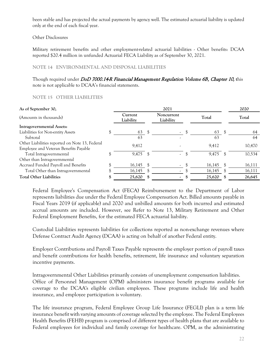been stable and has projected the actual payments by agency well. The estimated actuarial liability is updated only at the end of each fiscal year.

# Other Disclosures

Military retirement benefits and other employment-related actuarial liabilities - Other benefits: DCAA reported \$20.4 million in unfunded Actuarial FECA Liability as of September 30, 2021.

# **NOTE 14 ENVIRONMENTAL AND DISPOSAL LIABILITIES**

Though required under DoD 7000.14-R Financial Management Regulation Volume 6B, Chapter 10, **t**his note is not applicable to DCAA's financial statements.

# **NOTE 15 OTHER LIABILITIES**

| As of September 30,                                                                     |    | 2021                 |    |                          |                           |        |      | 2020   |
|-----------------------------------------------------------------------------------------|----|----------------------|----|--------------------------|---------------------------|--------|------|--------|
| (Amounts in thousands)                                                                  |    | Current<br>Liability |    | Noncurrent<br>Liability  |                           | Total  |      | Total  |
| Intragovernmental Assets:                                                               |    |                      |    |                          |                           |        |      |        |
| Liabilities for Non-entity Assets                                                       |    | 63                   | \$ |                          | $-$ \$                    | 63     | - \$ | 64     |
| Subtotal                                                                                |    | 63                   |    | $\overline{\phantom{a}}$ |                           | 63     |      | 64     |
| Other Liabilities reported on Note 13, Federal<br>Employee and Veteran Benefits Payable |    | 9,412                |    |                          |                           | 9,412  |      | 10,470 |
| Total Intragovernmental                                                                 |    | 9,475                |    | u,                       | \$                        | 9,475  |      | 10,534 |
| Other than Intragovernmental                                                            |    |                      |    |                          |                           |        |      |        |
| Accrued Funded Payroll and Benefits                                                     | \$ | $16,145$ \$          |    | $\sim$                   | \$                        | 16,145 | - \$ | 16,111 |
| Total Other than Intragovernmental                                                      |    | 16,145               |    | $\overline{\phantom{a}}$ | \$                        | 16,145 |      | 16,111 |
| <b>Total Other Liabilities</b>                                                          | \$ | 25,620               |    | ٠                        | $\boldsymbol{\mathsf{s}}$ | 25,620 |      | 26,645 |

Federal Employee's Compensation Act (FECA) Reimbursement to the Department of Labor represents liabilities due under the Federal Employee Compensation Act. Billed amounts payable in Fiscal Years 2019 (if applicable) and 2020 and unbilled amounts for both incurred and estimated accrual amounts are included. However, see Refer to Note 13, Military Retirement and Other Federal Employment Benefits, for the estimated FECA actuarial liability.

Custodial Liabilities represents liabilities for collections reported as non-exchange revenues where Defense Contract Audit Agency (DCAA) is acting on behalf of another Federal entity.

Employer Contributions and Payroll Taxes Payable represents the employer portion of payroll taxes and benefit contributions for health benefits, retirement, life insurance and voluntary separation incentive payments.

lntragovernmental Other Liabilities primarily consists of unemployment compensation liabilities. Office of Personnel Management (OPM) administers insurance benefit programs available for coverage to the DCAA's eligible civilian employees. These programs include life and health insurance, and employee participation is voluntary.

The life insurance program, Federal Employee Group Life Insurance (FEGLI) plan is a term life insurance benefit with varying amounts of coverage selected by the employee. The Federal Employees Health Benefits (FEHB) program is comprised of different types of health plans that are available to Federal employees for individual and family coverage for healthcare. OPM, as the administrating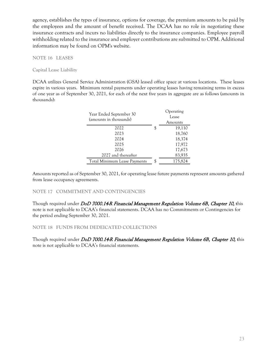agency, establishes the types of insurance, options for coverage, the premium amounts to be paid by the employees and the amount of benefit received. The DCAA has no role in negotiating these insurance contracts and incurs no liabilities directly to the insurance companies. Employee payroll withholding related to the insurance and employer contributions are submitted to OPM. Additional information may be found on OPM's website.

**NOTE 16 LEASES**

**Capital Lease Liability**

DCAA utilizes General Service Administration (GSA) leased office space at various locations. These leases expire in various years. Minimum rental payments under operating leases having remaining terms in excess of one year as of September 30, 2021, for each of the next five years in aggregate are as follows (amounts in thousands):

| Year Ended September 30<br>(amounts in thousands) |    | Operating<br>Lease |  |  |  |  |
|---------------------------------------------------|----|--------------------|--|--|--|--|
|                                                   |    |                    |  |  |  |  |
| 2022                                              | \$ | 19,110             |  |  |  |  |
| 2023                                              |    | 18,760             |  |  |  |  |
| 2024                                              |    | 18,374             |  |  |  |  |
| 2025                                              |    | 17,972             |  |  |  |  |
| 2026                                              |    | 17,673             |  |  |  |  |
| 2027 and thereafter                               |    | 83,935             |  |  |  |  |
| <b>Total Minimum Lease Payments</b>               | \$ | 175,824            |  |  |  |  |

Amounts reported as of September 30, 2021, for operating lease future payments represent amounts gathered from lease occupancy agreements.

# **NOTE 17 COMMITMENT AND CONTINGENCIES**

Though required under DoD 7000.14-R Financial Management Regulation Volume 6B, Chapter 10, **t**his note is not applicable to DCAA's financial statements. DCAA has no Commitments or Contingencies for the period ending September 30, 2021.

# **NOTE 18 FUNDS FROM DEDEICATED COLLECTIONS**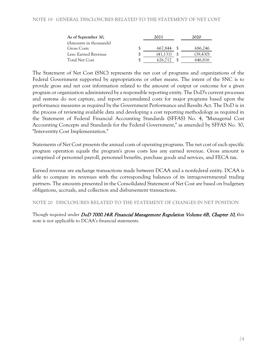#### **NOTE 19 GENERAL DISCLOSURES RELATED TO THE STATEMENT OF NET COST**

| As of September 30,    |  | 2021     | 2020     |
|------------------------|--|----------|----------|
| (Amounts in thousands) |  |          |          |
| Gross Costs            |  | 667.844  | 686,246  |
| Less: Earned Revenue   |  | (41.131) | (39.430) |
| <b>Total Net Cost</b>  |  | 626.712  | 646.816  |

The Statement of Net Cost (SNC) represents the net cost of programs and organizations of the Federal Government supported by appropriations or other means. The intent of the SNC is to provide gross and net cost information related to the amount of output or outcome for a given program or organization administered by a responsible reporting entity. The DoD's current processes and systems do not capture, and report accumulated costs for major programs based upon the performance measures as required by the Government Performance and Results Act. The DoD is in the process of reviewing available data and developing a cost reporting methodology as required in the Statement of Federal Financial Accounting Standards (SFFAS) No. 4, "Managerial Cost Accounting Concepts and Standards for the Federal Government," as amended by SFFAS No. 30, "Inter-entity Cost Implementation."

Statements of Net Cost presents the annual costs of operating programs. The net cost of each specific program operation equals the program's gross costs less any earned revenue. Gross amount is comprised of personnel payroll, personnel benefits, purchase goods and services, and FECA tax.

Earned revenue are exchange transactions made between DCAA and a nonfederal entity. DCAA is able to compare its revenues with the corresponding balances of its intragovernmental trading partners. The amounts presented in the Consolidated Statement of Net Cost are based on budgetary obligations, accruals, and collection and disbursement transactions.

**NOTE 20 DISCLOSURES RELATED TO THE STATEMENT OF CHANGES IN NET POSITION**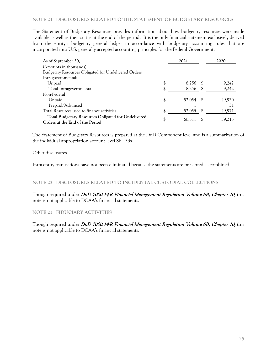The Statement of Budgetary Resources provides information about how budgetary resources were made available as well as their status at the end of the period. It is the only financial statement exclusively derived from the entity's budgetary general ledger in accordance with budgetary accounting rules that are incorporated into U.S. generally accepted accounting principles for the Federal Government.

| As of September 30,                                                                    |     | 2021   | 2020 |        |
|----------------------------------------------------------------------------------------|-----|--------|------|--------|
| (Amounts in thousands)                                                                 |     |        |      |        |
| Budgetary Resources Obligated for Undelivered Orders                                   |     |        |      |        |
| Intragovernmental:                                                                     |     |        |      |        |
| Unpaid                                                                                 | \$  | 8,256  | - \$ | 9,242  |
| Total Intragovernmental                                                                | \$. | 8,256  | - \$ | 9,242  |
| Non-Federal                                                                            |     |        |      |        |
| Unpaid                                                                                 | \$  | 52.054 | - \$ | 49,920 |
| Prepaid/Advanced                                                                       |     |        |      | 51     |
| Total Resources used to finance activities                                             | \$  | 52,055 | -\$  | 49,971 |
| Total Budgetary Resources Obligated for Undelivered<br>Orders at the End of the Period | \$  | 60.311 | - \$ | 59,213 |

The Statement of Budgetary Resources is prepared at the DoD Component level and is a summarization of the individual appropriation account level SF 133s.

### Other disclosures

Intra-entity transactions have not been eliminated because the statements are presented as combined.

# **NOTE 22 DISCLOSURES RELATED TO INCIDENTAL CUSTODIAL COLLECTIONS**

Though required under DoD 7000.14-R Financial Management Regulation Volume 6B, Chapter 10, **t**his note is not applicable to DCAA's financial statements.

#### **NOTE 23 FIDUCIARY ACTIVITIES**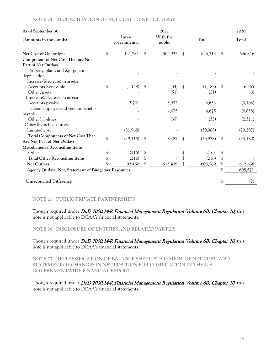### **NOTE 24 RECONCILIATION OF NET COST TO NET OUTLAYS**

| As of September 30,                                   |               |                        |               | 2021               |                |           |                | 2020      |
|-------------------------------------------------------|---------------|------------------------|---------------|--------------------|----------------|-----------|----------------|-----------|
| (Amounts in thousands)                                |               | Intra-<br>governmental |               | With the<br>public |                | Total     |                | Total     |
| Net Cost of Operations                                | \$            | 121,781                | $\mathcal{L}$ | 504,932            | \$             | 626,713   | $\mathfrak{F}$ | 646,816   |
| Component of Net Cost That are Not                    |               |                        |               |                    |                |           |                |           |
| Part of Net Outlays:                                  |               |                        |               |                    |                |           |                |           |
| Property, plant, and equipment                        |               |                        |               |                    |                |           |                |           |
| depreciation                                          |               |                        |               |                    |                |           |                |           |
| Increase/(decrease) in assets:                        |               |                        |               |                    |                |           |                |           |
| Accounts Receivable                                   | \$            | (1, 148)               | \$            | (34)               | $\mathfrak{F}$ | (1, 182)  | $\mathfrak{F}$ | 6,565     |
| Other Assets                                          |               |                        |               | (51)               |                | (51)      |                | (3)       |
| (Increase)/decrease in assets:                        |               |                        |               |                    |                |           |                |           |
| Accounts payable                                      |               | 2,701                  |               | 3,932              |                | 6,633     |                | (3,106)   |
| Federal employee and veteran benefits                 |               |                        |               | 4,675              |                | 4,675     |                | (6,058)   |
| payable                                               |               |                        |               |                    |                |           |                |           |
| Other liabilities                                     |               |                        |               | (35)               |                | (35)      |                | (2,371)   |
| Other financing sources:                              |               |                        |               |                    |                |           |                |           |
| Imputed cost                                          |               | (30,968)               |               |                    |                | (30, 968) |                | (29, 207) |
| <b>Total Components of Net Cost That</b>              | $\frac{1}{2}$ | (29, 415)              | \$            | 8,487              | \$             | (20, 928) | $\mathbb{S}$   | (34,180)  |
| Are Not Part of Net Outlays                           |               |                        |               |                    |                |           |                |           |
| Miscellaneous Reconciling Items                       |               |                        |               |                    |                |           |                |           |
| Other                                                 | \$            | (216)                  | \$            |                    | \$             | (216)     | \$             |           |
| <b>Total Other Reconciling Items</b>                  |               | (216)                  | \$            |                    |                | (216)     | \$             |           |
| <b>Net Outlays</b>                                    |               | 92,150                 | \$            | 513,419            | \$             | 605,569   | \$             | 612,636   |
| Agency Outlays, Net, Statement of Budgetary Resources |               |                        |               |                    |                |           | \$             | 605,571   |
| <b>Unreconciled Difference</b>                        |               |                        |               |                    |                |           | \$             | (2)       |

#### **NOTE 25 PUBLIC-PRIVATE PARTNERSHIPS**

Though required under DoD 7000.14-R Financial Management Regulation Volume 6B, Chapter 10, **t**his note is not applicable to DCAA's financial statements.

**NOTE 26 DISCLOSURE OF ENTITIES AND RELATED PARTIES**

Though required under DoD 7000.14-R Financial Management Regulation Volume 6B, Chapter 10, **t**his note is not applicable to DCAA's financial statements.

**NOTE 27 RECLASSIFICATION OF BALANCE SHEET, STATEMENT OF NET COST, AND STATEMENT OF CHANGES IN NET POSITION FOR COMPILATION IN THE U.S. GOVERNMENTWIDE FINANCIAL REPORT**